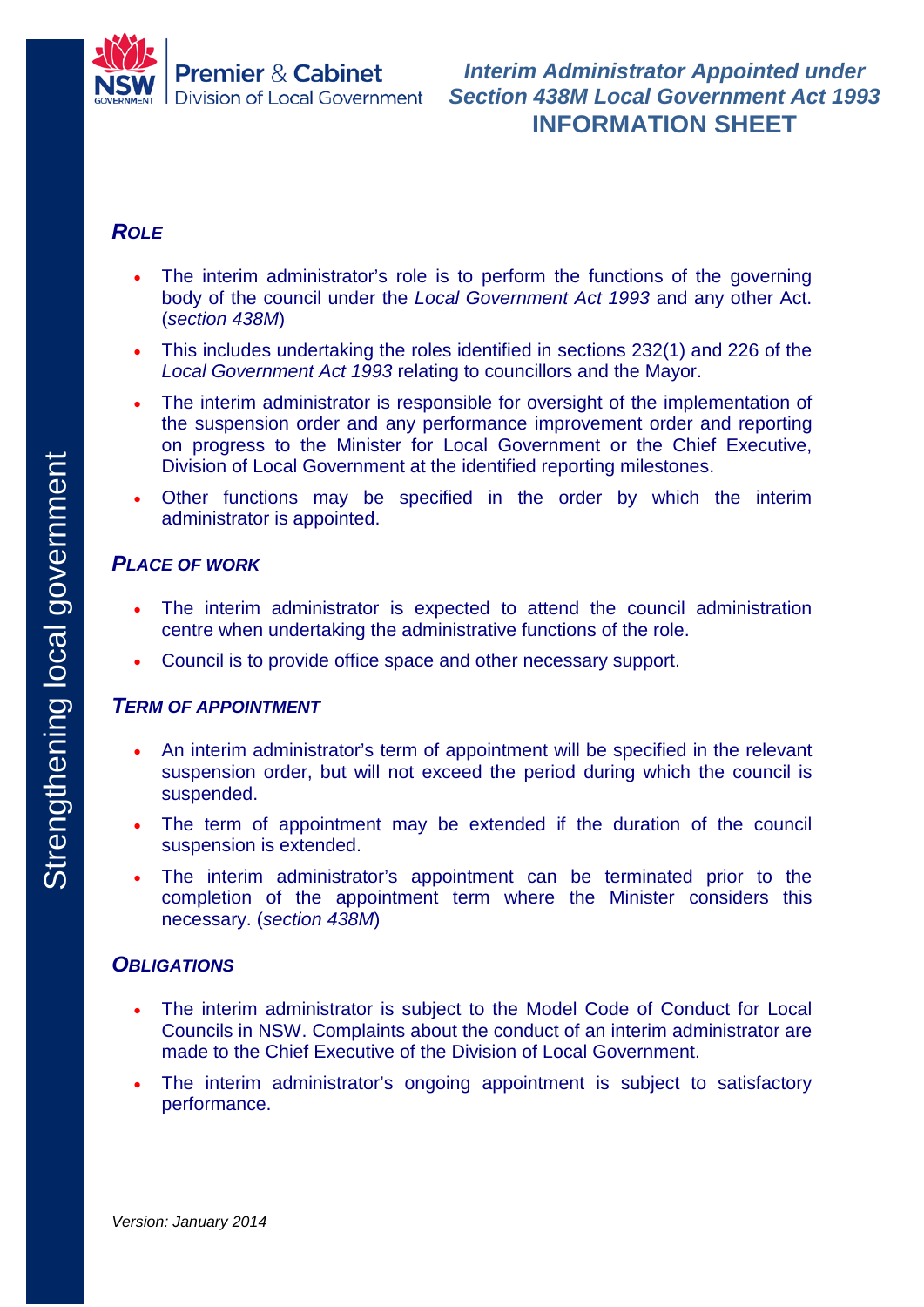

### *ROLE*

- The interim administrator's role is to perform the functions of the governing body of the council under the *Local Government Act 1993* and any other Act. (*section 438M*)
- This includes undertaking the roles identified in sections 232(1) and 226 of the *Local Government Act 1993* relating to councillors and the Mayor.
- The interim administrator is responsible for oversight of the implementation of the suspension order and any performance improvement order and reporting on progress to the Minister for Local Government or the Chief Executive, Division of Local Government at the identified reporting milestones.
- Other functions may be specified in the order by which the interim administrator is appointed.

# *PLACE OF WORK*

- The interim administrator is expected to attend the council administration centre when undertaking the administrative functions of the role.
- Council is to provide office space and other necessary support.

#### *TERM OF APPOINTMENT*

- An interim administrator's term of appointment will be specified in the relevant suspension order, but will not exceed the period during which the council is suspended.
- The term of appointment may be extended if the duration of the council suspension is extended.
- The interim administrator's appointment can be terminated prior to the completion of the appointment term where the Minister considers this necessary. (*section 438M*)

#### *OBLIGATIONS*

- The interim administrator is subject to the Model Code of Conduct for Local Councils in NSW. Complaints about the conduct of an interim administrator are made to the Chief Executive of the Division of Local Government.
- The interim administrator's ongoing appointment is subject to satisfactory performance.